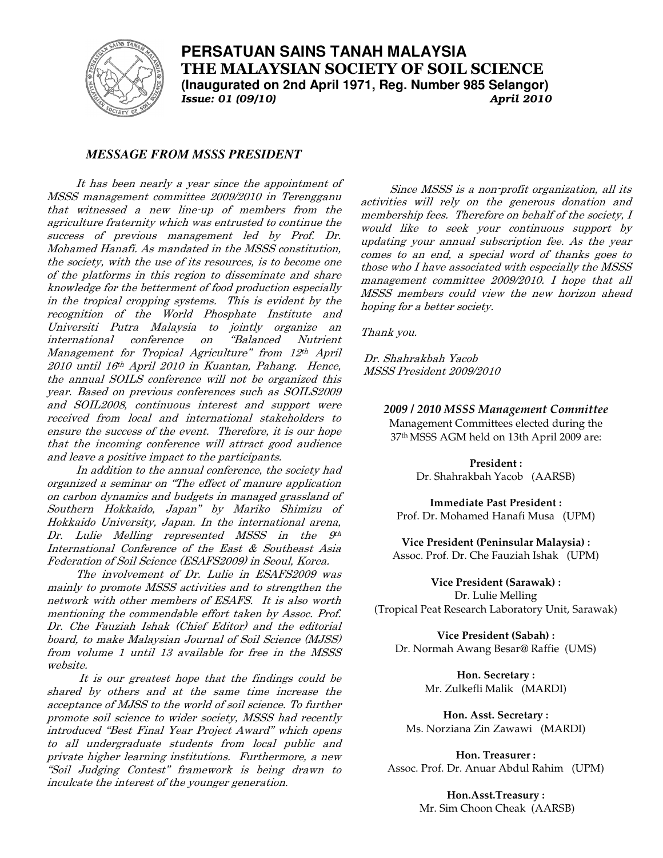

**PERSATUAN SAINS TANAH MALAYSIA THE MALAYSIAN SOCIETY OF SOIL SCIENCE (Inaugurated on 2nd April 1971, Reg. Number 985 Selangor)**  *Issue: 01 (09/10)* 

## *MESSAGE FROM MSSS PRESIDENT*

It has been nearly a year since the appointment of MSSS management committee 2009/2010 in Terengganu that witnessed a new line-up of members from the agriculture fraternity which was entrusted to continue the success of previous management led by Prof. Dr. Mohamed Hanafi. As mandated in the MSSS constitution, the society, with the use of its resources, is to become one of the platforms in this region to disseminate and share knowledge for the betterment of food production especially in the tropical cropping systems. This is evident by the recognition of the World Phosphate Institute and Universiti Putra Malaysia to jointly organize an international conference on "Balanced Nutrient Management for Tropical Agriculture" from 12th April 2010 until 16th April 2010 in Kuantan, Pahang. Hence, the annual SOILS conference will not be organized this year. Based on previous conferences such as SOILS2009 and SOIL2008, continuous interest and support were received from local and international stakeholders to ensure the success of the event. Therefore, it is our hope that the incoming conference will attract good audience and leave a positive impact to the participants.

In addition to the annual conference, the society had organized a seminar on "The effect of manure application on carbon dynamics and budgets in managed grassland of Southern Hokkaido, Japan" by Mariko Shimizu of Hokkaido University, Japan. In the international arena, Dr. Lulie Melling represented MSSS in the  $9<sup>th</sup>$ International Conference of the East & Southeast Asia Federation of Soil Science (ESAFS2009) in Seoul, Korea.

The involvement of Dr. Lulie in ESAFS2009 was mainly to promote MSSS activities and to strengthen the network with other members of ESAFS. It is also worth mentioning the commendable effort taken by Assoc. Prof. Dr. Che Fauziah Ishak (Chief Editor) and the editorial board, to make Malaysian Journal of Soil Science (MJSS) from volume 1 until 13 available for free in the MSSS website.

 It is our greatest hope that the findings could be shared by others and at the same time increase the acceptance of MJSS to the world of soil science. To further promote soil science to wider society, MSSS had recently introduced "Best Final Year Project Award" which opens to all undergraduate students from local public and private higher learning institutions. Furthermore, a new "Soil Judging Contest" framework is being drawn to inculcate the interest of the younger generation.

Since MSSS is a non-profit organization, all its activities will rely on the generous donation and membership fees. Therefore on behalf of the society, I would like to seek your continuous support by updating your annual subscription fee. As the year comes to an end, a special word of thanks goes to those who I have associated with especially the MSSS management committee 2009/2010. I hope that all MSSS members could view the new horizon ahead hoping for a better society.

Thank you.

 Dr. Shahrakbah Yacob MSSS President 2009/2010

*2009 / 2010 MSSS Management Committee* 

Management Committees elected during the 37th MSSS AGM held on 13th April 2009 are:

> **President :**  Dr. Shahrakbah Yacob (AARSB)

**Immediate Past President :**  Prof. Dr. Mohamed Hanafi Musa (UPM)

**Vice President (Peninsular Malaysia) :** Assoc. Prof. Dr. Che Fauziah Ishak (UPM)

**Vice President (Sarawak) :**  Dr. Lulie Melling (Tropical Peat Research Laboratory Unit, Sarawak)

**Vice President (Sabah) :**  Dr. Normah Awang Besar@ Raffie (UMS)

> **Hon. Secretary :**  Mr. Zulkefli Malik (MARDI)

**Hon. Asst. Secretary :**  Ms. Norziana Zin Zawawi (MARDI)

**Hon. Treasurer :**  Assoc. Prof. Dr. Anuar Abdul Rahim (UPM)

> **Hon.Asst.Treasury :**  Mr. Sim Choon Cheak (AARSB)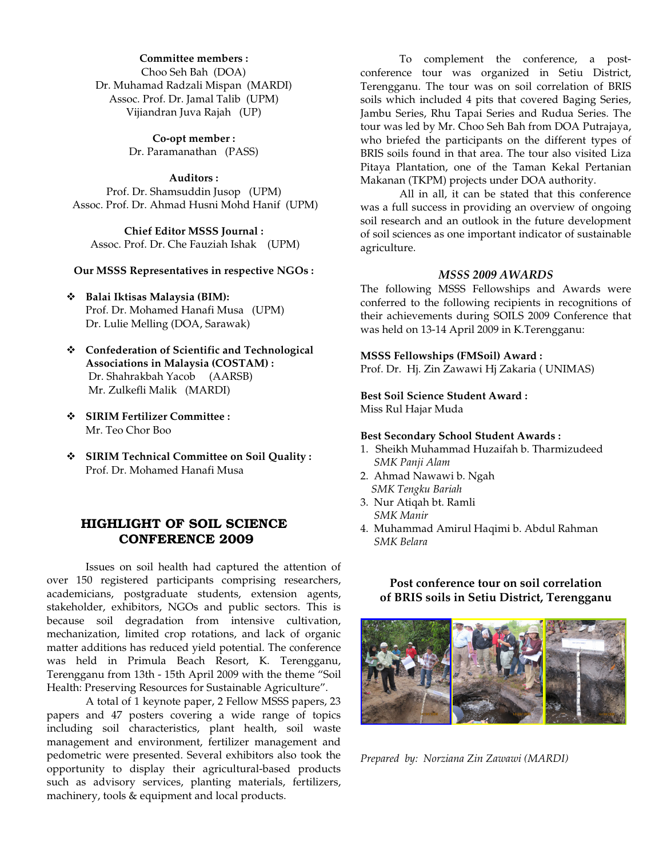## **Committee members :**

Choo Seh Bah (DOA) Dr. Muhamad Radzali Mispan (MARDI) Assoc. Prof. Dr. Jamal Talib (UPM) Vijiandran Juva Rajah (UP)

> **Co-opt member :**  Dr. Paramanathan (PASS)

**Auditors :**  Prof. Dr. Shamsuddin Jusop (UPM) Assoc. Prof. Dr. Ahmad Husni Mohd Hanif (UPM)

**Chief Editor MSSS Journal :**  Assoc. Prof. Dr. Che Fauziah Ishak (UPM)

**Our MSSS Representatives in respective NGOs :** 

- **Balai Iktisas Malaysia (BIM):** Prof. Dr. Mohamed Hanafi Musa (UPM) Dr. Lulie Melling (DOA, Sarawak)
- **Confederation of Scientific and Technological Associations in Malaysia (COSTAM) :**  Dr. Shahrakbah Yacob (AARSB) Mr. Zulkefli Malik (MARDI)
- **SIRIM Fertilizer Committee :**  Mr. Teo Chor Boo
- **SIRIM Technical Committee on Soil Quality :**  Prof. Dr. Mohamed Hanafi Musa

## HIGHLIGHT OF SOIL SCIENCE CONFERENCE 2009

Issues on soil health had captured the attention of over 150 registered participants comprising researchers, academicians, postgraduate students, extension agents, stakeholder, exhibitors, NGOs and public sectors. This is because soil degradation from intensive cultivation, mechanization, limited crop rotations, and lack of organic matter additions has reduced yield potential. The conference was held in Primula Beach Resort, K. Terengganu, Terengganu from 13th - 15th April 2009 with the theme "Soil Health: Preserving Resources for Sustainable Agriculture".

A total of 1 keynote paper, 2 Fellow MSSS papers, 23 papers and 47 posters covering a wide range of topics including soil characteristics, plant health, soil waste management and environment, fertilizer management and pedometric were presented. Several exhibitors also took the opportunity to display their agricultural-based products such as advisory services, planting materials, fertilizers, machinery, tools & equipment and local products.

To complement the conference, a postconference tour was organized in Setiu District, Terengganu. The tour was on soil correlation of BRIS soils which included 4 pits that covered Baging Series, Jambu Series, Rhu Tapai Series and Rudua Series. The tour was led by Mr. Choo Seh Bah from DOA Putrajaya, who briefed the participants on the different types of BRIS soils found in that area. The tour also visited Liza Pitaya Plantation, one of the Taman Kekal Pertanian Makanan (TKPM) projects under DOA authority.

All in all, it can be stated that this conference was a full success in providing an overview of ongoing soil research and an outlook in the future development of soil sciences as one important indicator of sustainable agriculture.

#### *MSSS 2009 AWARDS*

The following MSSS Fellowships and Awards were conferred to the following recipients in recognitions of their achievements during SOILS 2009 Conference that was held on 13-14 April 2009 in K.Terengganu:

#### **MSSS Fellowships (FMSoil) Award :**

Prof. Dr. Hj. Zin Zawawi Hj Zakaria ( UNIMAS)

# **Best Soil Science Student Award :**

Miss Rul Hajar Muda

#### **Best Secondary School Student Awards :**

- 1. Sheikh Muhammad Huzaifah b. Tharmizudeed *SMK Panji Alam*
- 2. Ahmad Nawawi b. Ngah *SMK Tengku Bariah*
- 3. Nur Atiqah bt. Ramli  *SMK Manir*
- 4. Muhammad Amirul Haqimi b. Abdul Rahman *SMK Belara*

**Post conference tour on soil correlation of BRIS soils in Setiu District, Terengganu** 



*Prepared by: Norziana Zin Zawawi (MARDI)*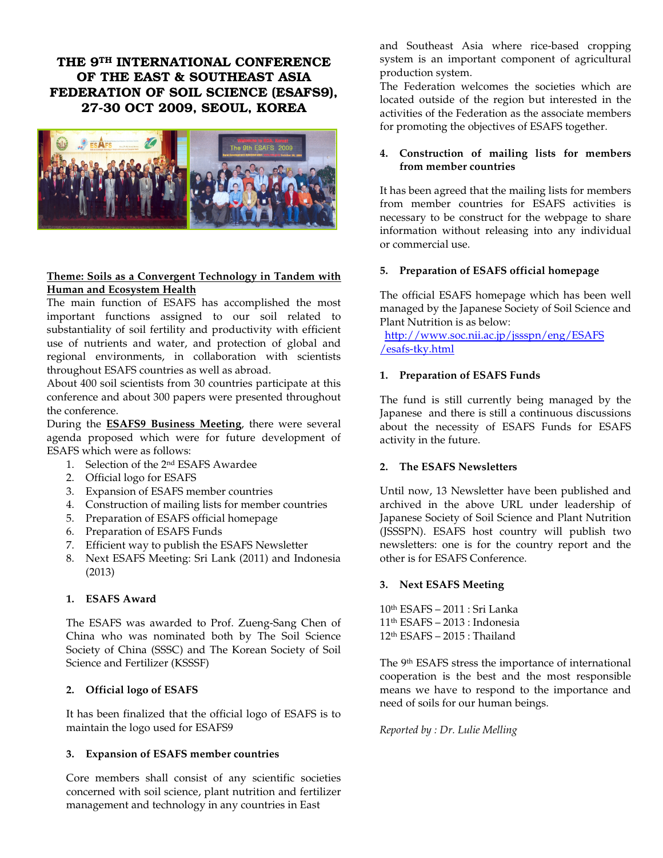THE 9TH INTERNATIONAL CONFERENCE OF THE EAST & SOUTHEAST ASIA FEDERATION OF SOIL SCIENCE (ESAFS9), 27-30 OCT 2009, SEOUL, KOREA



## **Theme: Soils as a Convergent Technology in Tandem with Human and Ecosystem Health**

The main function of ESAFS has accomplished the most important functions assigned to our soil related to substantiality of soil fertility and productivity with efficient use of nutrients and water, and protection of global and regional environments, in collaboration with scientists throughout ESAFS countries as well as abroad.

About 400 soil scientists from 30 countries participate at this conference and about 300 papers were presented throughout the conference.

During the **ESAFS9 Business Meeting**, there were several agenda proposed which were for future development of ESAFS which were as follows:

- 1. Selection of the 2nd ESAFS Awardee
- 2. Official logo for ESAFS
- 3. Expansion of ESAFS member countries
- 4. Construction of mailing lists for member countries
- 5. Preparation of ESAFS official homepage
- 6. Preparation of ESAFS Funds
- 7. Efficient way to publish the ESAFS Newsletter
- 8. Next ESAFS Meeting: Sri Lank (2011) and Indonesia (2013)

## **1. ESAFS Award**

The ESAFS was awarded to Prof. Zueng-Sang Chen of China who was nominated both by The Soil Science Society of China (SSSC) and The Korean Society of Soil Science and Fertilizer (KSSSF)

### **2. Official logo of ESAFS**

It has been finalized that the official logo of ESAFS is to maintain the logo used for ESAFS9

### **3. Expansion of ESAFS member countries**

Core members shall consist of any scientific societies concerned with soil science, plant nutrition and fertilizer management and technology in any countries in East

and Southeast Asia where rice-based cropping system is an important component of agricultural production system.

The Federation welcomes the societies which are located outside of the region but interested in the activities of the Federation as the associate members for promoting the objectives of ESAFS together.

## **4. Construction of mailing lists for members from member countries**

It has been agreed that the mailing lists for members from member countries for ESAFS activities is necessary to be construct for the webpage to share information without releasing into any individual or commercial use.

## **5. Preparation of ESAFS official homepage**

The official ESAFS homepage which has been well managed by the Japanese Society of Soil Science and Plant Nutrition is as below:

 http://www.soc.nii.ac.jp/jssspn/eng/ESAFS /esafs-tky.html

## **1. Preparation of ESAFS Funds**

The fund is still currently being managed by the Japanese and there is still a continuous discussions about the necessity of ESAFS Funds for ESAFS activity in the future.

## **2. The ESAFS Newsletters**

Until now, 13 Newsletter have been published and archived in the above URL under leadership of Japanese Society of Soil Science and Plant Nutrition (JSSSPN). ESAFS host country will publish two newsletters: one is for the country report and the other is for ESAFS Conference.

### **3. Next ESAFS Meeting**

10th ESAFS – 2011 : Sri Lanka 11th ESAFS – 2013 : Indonesia 12th ESAFS – 2015 : Thailand

The 9<sup>th</sup> ESAFS stress the importance of international cooperation is the best and the most responsible means we have to respond to the importance and need of soils for our human beings.

### *Reported by : Dr. Lulie Melling*